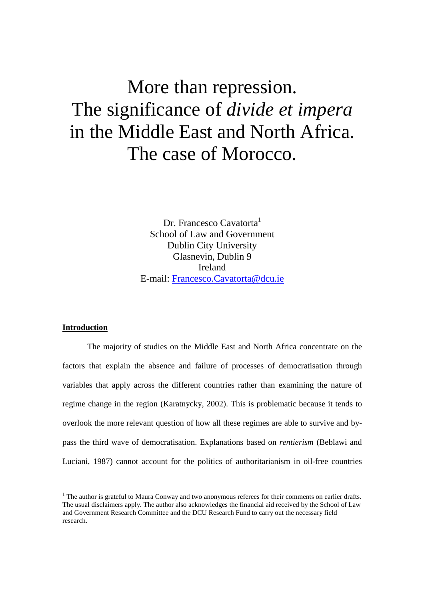# More than repression. The significance of *divide et impera*  in the Middle East and North Africa. The case of Morocco.

Dr. Francesco Cavatorta<sup>1</sup> School of Law and Government Dublin City University Glasnevin, Dublin 9 Ireland E-mail: Francesco.Cavatorta@dcu.ie

# **Introduction**

-

The majority of studies on the Middle East and North Africa concentrate on the factors that explain the absence and failure of processes of democratisation through variables that apply across the different countries rather than examining the nature of regime change in the region (Karatnycky, 2002). This is problematic because it tends to overlook the more relevant question of how all these regimes are able to survive and bypass the third wave of democratisation. Explanations based on *rentierism* (Beblawi and Luciani, 1987) cannot account for the politics of authoritarianism in oil-free countries

<sup>&</sup>lt;sup>1</sup> The author is grateful to Maura Conway and two anonymous referees for their comments on earlier drafts. The usual disclaimers apply. The author also acknowledges the financial aid received by the School of Law and Government Research Committee and the DCU Research Fund to carry out the necessary field research.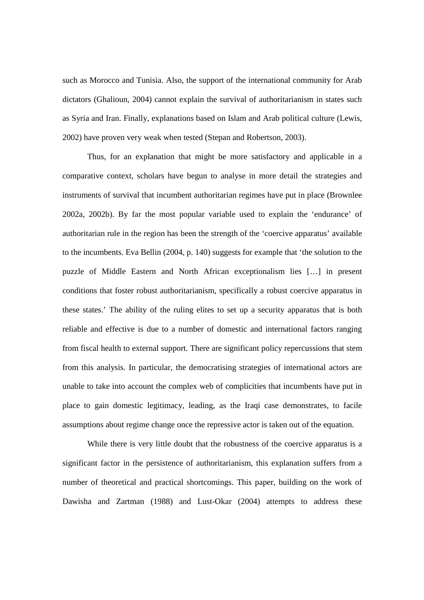such as Morocco and Tunisia. Also, the support of the international community for Arab dictators (Ghalioun, 2004) cannot explain the survival of authoritarianism in states such as Syria and Iran. Finally, explanations based on Islam and Arab political culture (Lewis, 2002) have proven very weak when tested (Stepan and Robertson, 2003).

Thus, for an explanation that might be more satisfactory and applicable in a comparative context, scholars have begun to analyse in more detail the strategies and instruments of survival that incumbent authoritarian regimes have put in place (Brownlee 2002a, 2002b). By far the most popular variable used to explain the 'endurance' of authoritarian rule in the region has been the strength of the 'coercive apparatus' available to the incumbents. Eva Bellin (2004, p. 140) suggests for example that 'the solution to the puzzle of Middle Eastern and North African exceptionalism lies […] in present conditions that foster robust authoritarianism, specifically a robust coercive apparatus in these states.' The ability of the ruling elites to set up a security apparatus that is both reliable and effective is due to a number of domestic and international factors ranging from fiscal health to external support. There are significant policy repercussions that stem from this analysis. In particular, the democratising strategies of international actors are unable to take into account the complex web of complicities that incumbents have put in place to gain domestic legitimacy, leading, as the Iraqi case demonstrates, to facile assumptions about regime change once the repressive actor is taken out of the equation.

While there is very little doubt that the robustness of the coercive apparatus is a significant factor in the persistence of authoritarianism, this explanation suffers from a number of theoretical and practical shortcomings. This paper, building on the work of Dawisha and Zartman (1988) and Lust-Okar (2004) attempts to address these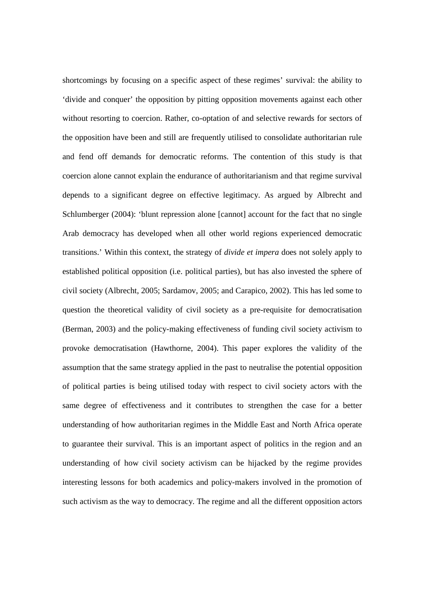shortcomings by focusing on a specific aspect of these regimes' survival: the ability to 'divide and conquer' the opposition by pitting opposition movements against each other without resorting to coercion. Rather, co-optation of and selective rewards for sectors of the opposition have been and still are frequently utilised to consolidate authoritarian rule and fend off demands for democratic reforms. The contention of this study is that coercion alone cannot explain the endurance of authoritarianism and that regime survival depends to a significant degree on effective legitimacy. As argued by Albrecht and Schlumberger (2004): 'blunt repression alone [cannot] account for the fact that no single Arab democracy has developed when all other world regions experienced democratic transitions.' Within this context, the strategy of *divide et impera* does not solely apply to established political opposition (i.e. political parties), but has also invested the sphere of civil society (Albrecht, 2005; Sardamov, 2005; and Carapico, 2002). This has led some to question the theoretical validity of civil society as a pre-requisite for democratisation (Berman, 2003) and the policy-making effectiveness of funding civil society activism to provoke democratisation (Hawthorne, 2004). This paper explores the validity of the assumption that the same strategy applied in the past to neutralise the potential opposition of political parties is being utilised today with respect to civil society actors with the same degree of effectiveness and it contributes to strengthen the case for a better understanding of how authoritarian regimes in the Middle East and North Africa operate to guarantee their survival. This is an important aspect of politics in the region and an understanding of how civil society activism can be hijacked by the regime provides interesting lessons for both academics and policy-makers involved in the promotion of such activism as the way to democracy. The regime and all the different opposition actors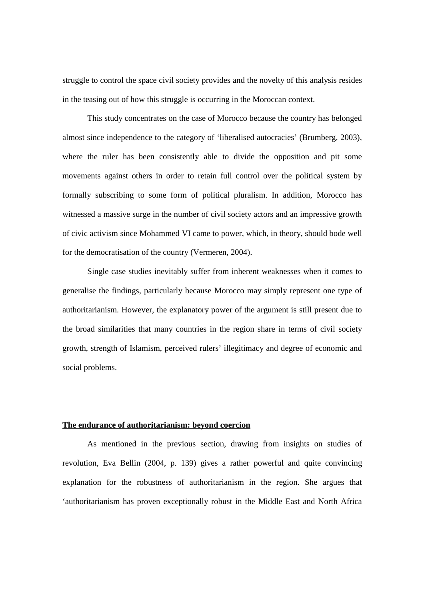struggle to control the space civil society provides and the novelty of this analysis resides in the teasing out of how this struggle is occurring in the Moroccan context.

This study concentrates on the case of Morocco because the country has belonged almost since independence to the category of 'liberalised autocracies' (Brumberg, 2003), where the ruler has been consistently able to divide the opposition and pit some movements against others in order to retain full control over the political system by formally subscribing to some form of political pluralism. In addition, Morocco has witnessed a massive surge in the number of civil society actors and an impressive growth of civic activism since Mohammed VI came to power, which, in theory, should bode well for the democratisation of the country (Vermeren, 2004).

Single case studies inevitably suffer from inherent weaknesses when it comes to generalise the findings, particularly because Morocco may simply represent one type of authoritarianism. However, the explanatory power of the argument is still present due to the broad similarities that many countries in the region share in terms of civil society growth, strength of Islamism, perceived rulers' illegitimacy and degree of economic and social problems.

#### **The endurance of authoritarianism: beyond coercion**

 As mentioned in the previous section, drawing from insights on studies of revolution, Eva Bellin (2004, p. 139) gives a rather powerful and quite convincing explanation for the robustness of authoritarianism in the region. She argues that 'authoritarianism has proven exceptionally robust in the Middle East and North Africa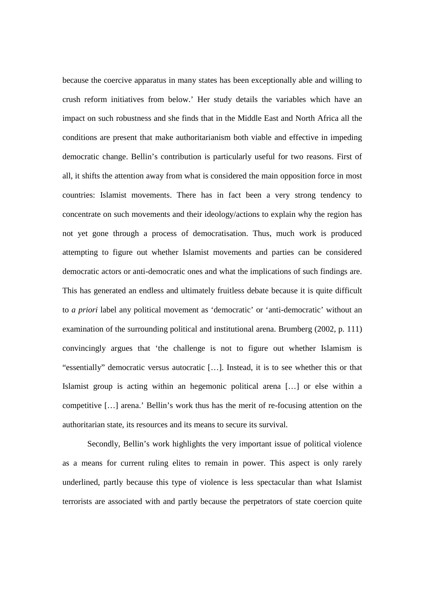because the coercive apparatus in many states has been exceptionally able and willing to crush reform initiatives from below.' Her study details the variables which have an impact on such robustness and she finds that in the Middle East and North Africa all the conditions are present that make authoritarianism both viable and effective in impeding democratic change. Bellin's contribution is particularly useful for two reasons. First of all, it shifts the attention away from what is considered the main opposition force in most countries: Islamist movements. There has in fact been a very strong tendency to concentrate on such movements and their ideology/actions to explain why the region has not yet gone through a process of democratisation. Thus, much work is produced attempting to figure out whether Islamist movements and parties can be considered democratic actors or anti-democratic ones and what the implications of such findings are. This has generated an endless and ultimately fruitless debate because it is quite difficult to *a priori* label any political movement as 'democratic' or 'anti-democratic' without an examination of the surrounding political and institutional arena. Brumberg (2002, p. 111) convincingly argues that 'the challenge is not to figure out whether Islamism is "essentially" democratic versus autocratic […]. Instead, it is to see whether this or that Islamist group is acting within an hegemonic political arena […] or else within a competitive […] arena.' Bellin's work thus has the merit of re-focusing attention on the authoritarian state, its resources and its means to secure its survival.

Secondly, Bellin's work highlights the very important issue of political violence as a means for current ruling elites to remain in power. This aspect is only rarely underlined, partly because this type of violence is less spectacular than what Islamist terrorists are associated with and partly because the perpetrators of state coercion quite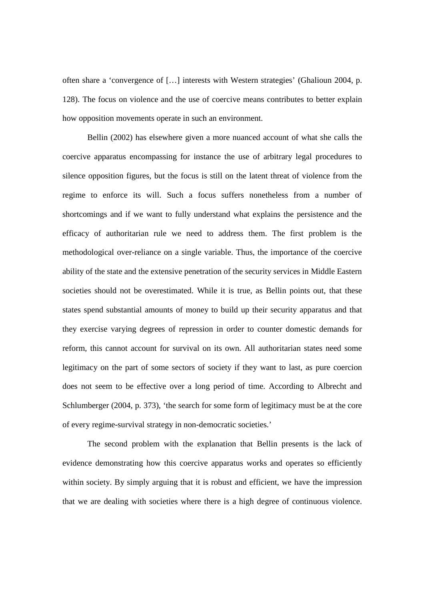often share a 'convergence of […] interests with Western strategies' (Ghalioun 2004, p. 128). The focus on violence and the use of coercive means contributes to better explain how opposition movements operate in such an environment.

Bellin (2002) has elsewhere given a more nuanced account of what she calls the coercive apparatus encompassing for instance the use of arbitrary legal procedures to silence opposition figures, but the focus is still on the latent threat of violence from the regime to enforce its will. Such a focus suffers nonetheless from a number of shortcomings and if we want to fully understand what explains the persistence and the efficacy of authoritarian rule we need to address them. The first problem is the methodological over-reliance on a single variable. Thus, the importance of the coercive ability of the state and the extensive penetration of the security services in Middle Eastern societies should not be overestimated. While it is true, as Bellin points out, that these states spend substantial amounts of money to build up their security apparatus and that they exercise varying degrees of repression in order to counter domestic demands for reform, this cannot account for survival on its own. All authoritarian states need some legitimacy on the part of some sectors of society if they want to last, as pure coercion does not seem to be effective over a long period of time. According to Albrecht and Schlumberger (2004, p. 373), 'the search for some form of legitimacy must be at the core of every regime-survival strategy in non-democratic societies.'

 The second problem with the explanation that Bellin presents is the lack of evidence demonstrating how this coercive apparatus works and operates so efficiently within society. By simply arguing that it is robust and efficient, we have the impression that we are dealing with societies where there is a high degree of continuous violence.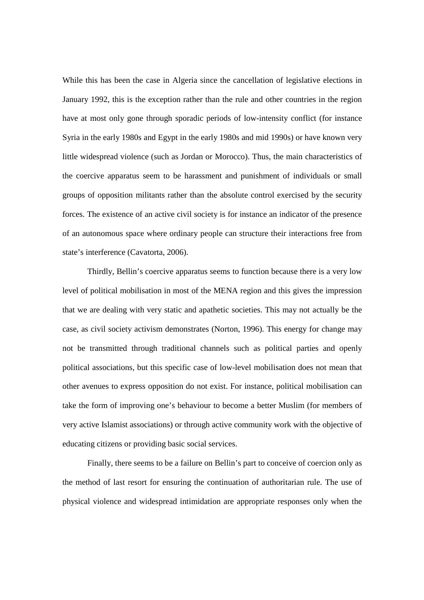While this has been the case in Algeria since the cancellation of legislative elections in January 1992, this is the exception rather than the rule and other countries in the region have at most only gone through sporadic periods of low-intensity conflict (for instance Syria in the early 1980s and Egypt in the early 1980s and mid 1990s) or have known very little widespread violence (such as Jordan or Morocco). Thus, the main characteristics of the coercive apparatus seem to be harassment and punishment of individuals or small groups of opposition militants rather than the absolute control exercised by the security forces. The existence of an active civil society is for instance an indicator of the presence of an autonomous space where ordinary people can structure their interactions free from state's interference (Cavatorta, 2006).

 Thirdly, Bellin's coercive apparatus seems to function because there is a very low level of political mobilisation in most of the MENA region and this gives the impression that we are dealing with very static and apathetic societies. This may not actually be the case, as civil society activism demonstrates (Norton, 1996). This energy for change may not be transmitted through traditional channels such as political parties and openly political associations, but this specific case of low-level mobilisation does not mean that other avenues to express opposition do not exist. For instance, political mobilisation can take the form of improving one's behaviour to become a better Muslim (for members of very active Islamist associations) or through active community work with the objective of educating citizens or providing basic social services.

 Finally, there seems to be a failure on Bellin's part to conceive of coercion only as the method of last resort for ensuring the continuation of authoritarian rule. The use of physical violence and widespread intimidation are appropriate responses only when the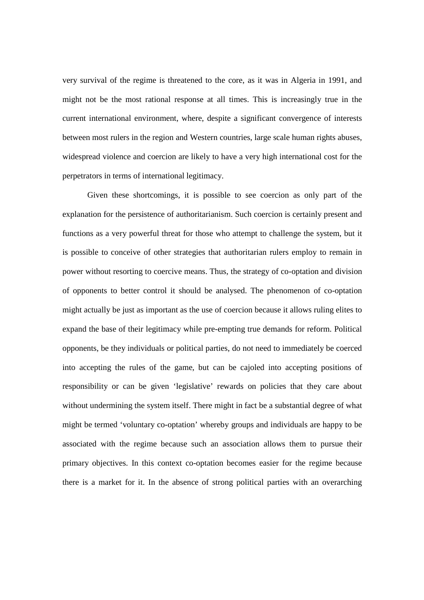very survival of the regime is threatened to the core, as it was in Algeria in 1991, and might not be the most rational response at all times. This is increasingly true in the current international environment, where, despite a significant convergence of interests between most rulers in the region and Western countries, large scale human rights abuses, widespread violence and coercion are likely to have a very high international cost for the perpetrators in terms of international legitimacy.

Given these shortcomings, it is possible to see coercion as only part of the explanation for the persistence of authoritarianism. Such coercion is certainly present and functions as a very powerful threat for those who attempt to challenge the system, but it is possible to conceive of other strategies that authoritarian rulers employ to remain in power without resorting to coercive means. Thus, the strategy of co-optation and division of opponents to better control it should be analysed. The phenomenon of co-optation might actually be just as important as the use of coercion because it allows ruling elites to expand the base of their legitimacy while pre-empting true demands for reform. Political opponents, be they individuals or political parties, do not need to immediately be coerced into accepting the rules of the game, but can be cajoled into accepting positions of responsibility or can be given 'legislative' rewards on policies that they care about without undermining the system itself. There might in fact be a substantial degree of what might be termed 'voluntary co-optation' whereby groups and individuals are happy to be associated with the regime because such an association allows them to pursue their primary objectives. In this context co-optation becomes easier for the regime because there is a market for it. In the absence of strong political parties with an overarching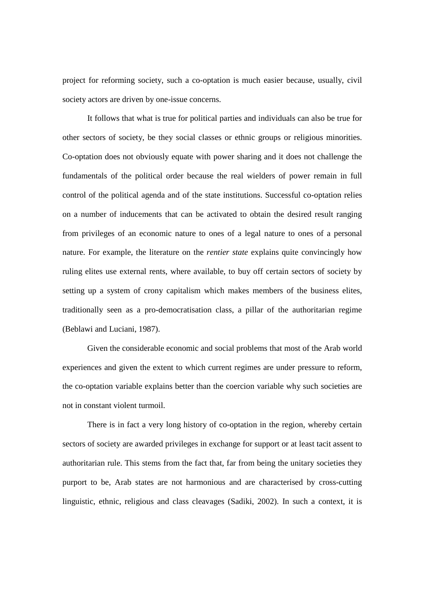project for reforming society, such a co-optation is much easier because, usually, civil society actors are driven by one-issue concerns.

It follows that what is true for political parties and individuals can also be true for other sectors of society, be they social classes or ethnic groups or religious minorities. Co-optation does not obviously equate with power sharing and it does not challenge the fundamentals of the political order because the real wielders of power remain in full control of the political agenda and of the state institutions. Successful co-optation relies on a number of inducements that can be activated to obtain the desired result ranging from privileges of an economic nature to ones of a legal nature to ones of a personal nature. For example, the literature on the *rentier state* explains quite convincingly how ruling elites use external rents, where available, to buy off certain sectors of society by setting up a system of crony capitalism which makes members of the business elites, traditionally seen as a pro-democratisation class, a pillar of the authoritarian regime (Beblawi and Luciani, 1987).

Given the considerable economic and social problems that most of the Arab world experiences and given the extent to which current regimes are under pressure to reform, the co-optation variable explains better than the coercion variable why such societies are not in constant violent turmoil.

There is in fact a very long history of co-optation in the region, whereby certain sectors of society are awarded privileges in exchange for support or at least tacit assent to authoritarian rule. This stems from the fact that, far from being the unitary societies they purport to be, Arab states are not harmonious and are characterised by cross-cutting linguistic, ethnic, religious and class cleavages (Sadiki, 2002). In such a context, it is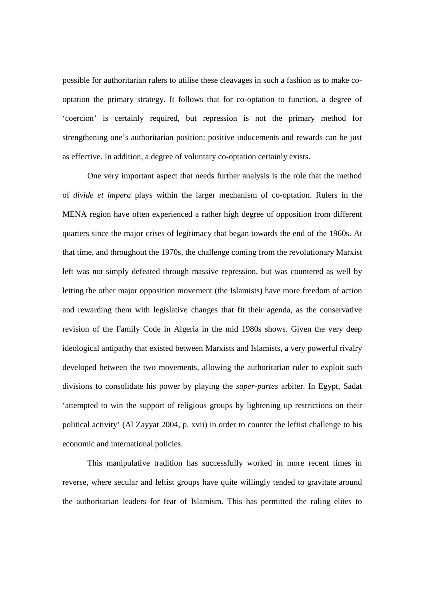possible for authoritarian rulers to utilise these cleavages in such a fashion as to make cooptation the primary strategy. It follows that for co-optation to function, a degree of 'coercion' is certainly required, but repression is not the primary method for strengthening one's authoritarian position: positive inducements and rewards can be just as effective. In addition, a degree of voluntary co-optation certainly exists.

One very important aspect that needs further analysis is the role that the method of *divide et impera* plays within the larger mechanism of co-optation. Rulers in the MENA region have often experienced a rather high degree of opposition from different quarters since the major crises of legitimacy that began towards the end of the 1960s. At that time, and throughout the 1970s, the challenge coming from the revolutionary Marxist left was not simply defeated through massive repression, but was countered as well by letting the other major opposition movement (the Islamists) have more freedom of action and rewarding them with legislative changes that fit their agenda, as the conservative revision of the Family Code in Algeria in the mid 1980s shows. Given the very deep ideological antipathy that existed between Marxists and Islamists, a very powerful rivalry developed between the two movements, allowing the authoritarian ruler to exploit such divisions to consolidate his power by playing the *super-partes* arbiter. In Egypt, Sadat 'attempted to win the support of religious groups by lightening up restrictions on their political activity' (Al Zayyat 2004, p. xvii) in order to counter the leftist challenge to his economic and international policies.

 This manipulative tradition has successfully worked in more recent times in reverse, where secular and leftist groups have quite willingly tended to gravitate around the authoritarian leaders for fear of Islamism. This has permitted the ruling elites to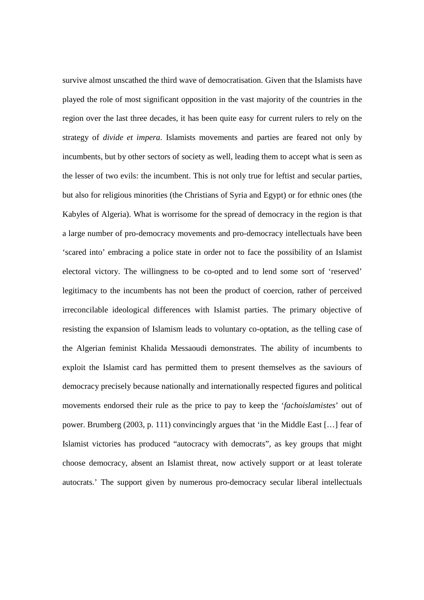survive almost unscathed the third wave of democratisation. Given that the Islamists have played the role of most significant opposition in the vast majority of the countries in the region over the last three decades, it has been quite easy for current rulers to rely on the strategy of *divide et impera*. Islamists movements and parties are feared not only by incumbents, but by other sectors of society as well, leading them to accept what is seen as the lesser of two evils: the incumbent. This is not only true for leftist and secular parties, but also for religious minorities (the Christians of Syria and Egypt) or for ethnic ones (the Kabyles of Algeria). What is worrisome for the spread of democracy in the region is that a large number of pro-democracy movements and pro-democracy intellectuals have been 'scared into' embracing a police state in order not to face the possibility of an Islamist electoral victory. The willingness to be co-opted and to lend some sort of 'reserved' legitimacy to the incumbents has not been the product of coercion, rather of perceived irreconcilable ideological differences with Islamist parties. The primary objective of resisting the expansion of Islamism leads to voluntary co-optation, as the telling case of the Algerian feminist Khalida Messaoudi demonstrates. The ability of incumbents to exploit the Islamist card has permitted them to present themselves as the saviours of democracy precisely because nationally and internationally respected figures and political movements endorsed their rule as the price to pay to keep the '*fachoislamistes*' out of power. Brumberg (2003, p. 111) convincingly argues that 'in the Middle East […] fear of Islamist victories has produced "autocracy with democrats", as key groups that might choose democracy, absent an Islamist threat, now actively support or at least tolerate autocrats.' The support given by numerous pro-democracy secular liberal intellectuals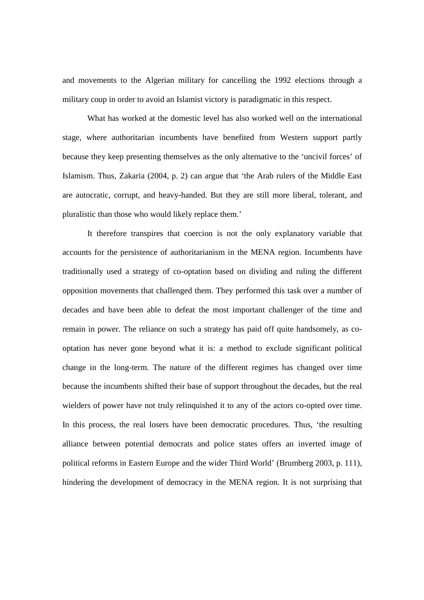and movements to the Algerian military for cancelling the 1992 elections through a military coup in order to avoid an Islamist victory is paradigmatic in this respect.

What has worked at the domestic level has also worked well on the international stage, where authoritarian incumbents have benefited from Western support partly because they keep presenting themselves as the only alternative to the 'uncivil forces' of Islamism. Thus, Zakaria (2004, p. 2) can argue that 'the Arab rulers of the Middle East are autocratic, corrupt, and heavy-handed. But they are still more liberal, tolerant, and pluralistic than those who would likely replace them.'

It therefore transpires that coercion is not the only explanatory variable that accounts for the persistence of authoritarianism in the MENA region. Incumbents have traditionally used a strategy of co-optation based on dividing and ruling the different opposition movements that challenged them. They performed this task over a number of decades and have been able to defeat the most important challenger of the time and remain in power. The reliance on such a strategy has paid off quite handsomely, as cooptation has never gone beyond what it is: a method to exclude significant political change in the long-term. The nature of the different regimes has changed over time because the incumbents shifted their base of support throughout the decades, but the real wielders of power have not truly relinquished it to any of the actors co-opted over time. In this process, the real losers have been democratic procedures. Thus, 'the resulting alliance between potential democrats and police states offers an inverted image of political reforms in Eastern Europe and the wider Third World' (Brumberg 2003, p. 111), hindering the development of democracy in the MENA region. It is not surprising that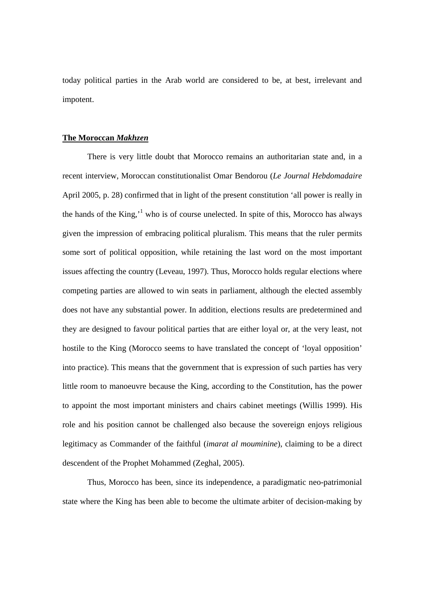today political parties in the Arab world are considered to be, at best, irrelevant and impotent.

#### **The Moroccan** *Makhzen*

 There is very little doubt that Morocco remains an authoritarian state and, in a recent interview, Moroccan constitutionalist Omar Bendorou (*Le Journal Hebdomadaire* April 2005, p. 28) confirmed that in light of the present constitution 'all power is really in the hands of the King,<sup> $1$ </sup> who is of course unelected. In spite of this, Morocco has always given the impression of embracing political pluralism. This means that the ruler permits some sort of political opposition, while retaining the last word on the most important issues affecting the country (Leveau, 1997). Thus, Morocco holds regular elections where competing parties are allowed to win seats in parliament, although the elected assembly does not have any substantial power. In addition, elections results are predetermined and they are designed to favour political parties that are either loyal or, at the very least, not hostile to the King (Morocco seems to have translated the concept of 'loyal opposition' into practice). This means that the government that is expression of such parties has very little room to manoeuvre because the King, according to the Constitution, has the power to appoint the most important ministers and chairs cabinet meetings (Willis 1999). His role and his position cannot be challenged also because the sovereign enjoys religious legitimacy as Commander of the faithful (*imarat al mouminine*), claiming to be a direct descendent of the Prophet Mohammed (Zeghal, 2005).

 Thus, Morocco has been, since its independence, a paradigmatic neo-patrimonial state where the King has been able to become the ultimate arbiter of decision-making by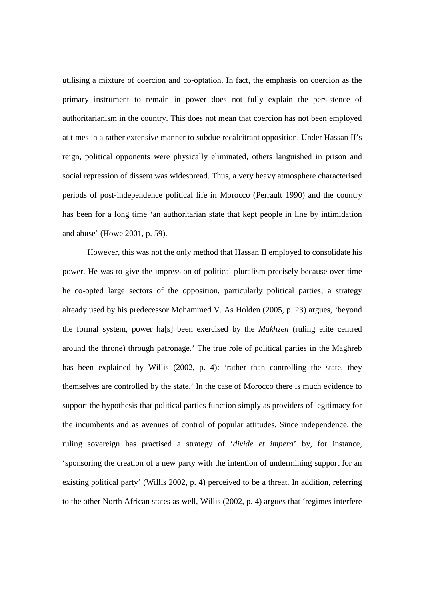utilising a mixture of coercion and co-optation. In fact, the emphasis on coercion as the primary instrument to remain in power does not fully explain the persistence of authoritarianism in the country. This does not mean that coercion has not been employed at times in a rather extensive manner to subdue recalcitrant opposition. Under Hassan II's reign, political opponents were physically eliminated, others languished in prison and social repression of dissent was widespread. Thus, a very heavy atmosphere characterised periods of post-independence political life in Morocco (Perrault 1990) and the country has been for a long time 'an authoritarian state that kept people in line by intimidation and abuse' (Howe 2001, p. 59).

 However, this was not the only method that Hassan II employed to consolidate his power. He was to give the impression of political pluralism precisely because over time he co-opted large sectors of the opposition, particularly political parties; a strategy already used by his predecessor Mohammed V. As Holden (2005, p. 23) argues, 'beyond the formal system, power ha[s] been exercised by the *Makhzen* (ruling elite centred around the throne) through patronage.' The true role of political parties in the Maghreb has been explained by Willis (2002, p. 4): 'rather than controlling the state, they themselves are controlled by the state.' In the case of Morocco there is much evidence to support the hypothesis that political parties function simply as providers of legitimacy for the incumbents and as avenues of control of popular attitudes. Since independence, the ruling sovereign has practised a strategy of '*divide et impera*' by, for instance, 'sponsoring the creation of a new party with the intention of undermining support for an existing political party' (Willis 2002, p. 4) perceived to be a threat. In addition, referring to the other North African states as well, Willis (2002, p. 4) argues that 'regimes interfere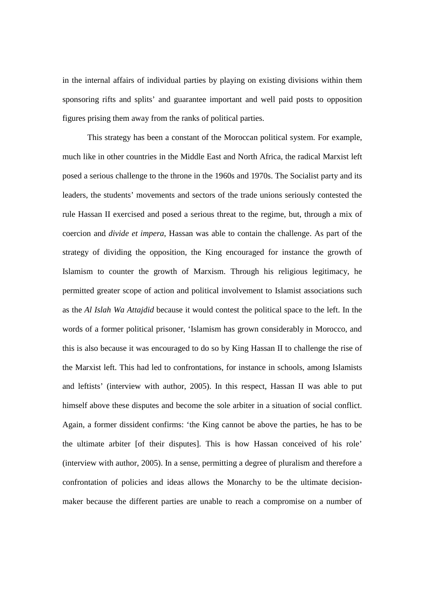in the internal affairs of individual parties by playing on existing divisions within them sponsoring rifts and splits' and guarantee important and well paid posts to opposition figures prising them away from the ranks of political parties.

This strategy has been a constant of the Moroccan political system. For example, much like in other countries in the Middle East and North Africa, the radical Marxist left posed a serious challenge to the throne in the 1960s and 1970s. The Socialist party and its leaders, the students' movements and sectors of the trade unions seriously contested the rule Hassan II exercised and posed a serious threat to the regime, but, through a mix of coercion and *divide et impera*, Hassan was able to contain the challenge. As part of the strategy of dividing the opposition, the King encouraged for instance the growth of Islamism to counter the growth of Marxism. Through his religious legitimacy, he permitted greater scope of action and political involvement to Islamist associations such as the *Al Islah Wa Attajdid* because it would contest the political space to the left. In the words of a former political prisoner, 'Islamism has grown considerably in Morocco, and this is also because it was encouraged to do so by King Hassan II to challenge the rise of the Marxist left. This had led to confrontations, for instance in schools, among Islamists and leftists' (interview with author, 2005). In this respect, Hassan II was able to put himself above these disputes and become the sole arbiter in a situation of social conflict. Again, a former dissident confirms: 'the King cannot be above the parties, he has to be the ultimate arbiter [of their disputes]. This is how Hassan conceived of his role' (interview with author, 2005). In a sense, permitting a degree of pluralism and therefore a confrontation of policies and ideas allows the Monarchy to be the ultimate decisionmaker because the different parties are unable to reach a compromise on a number of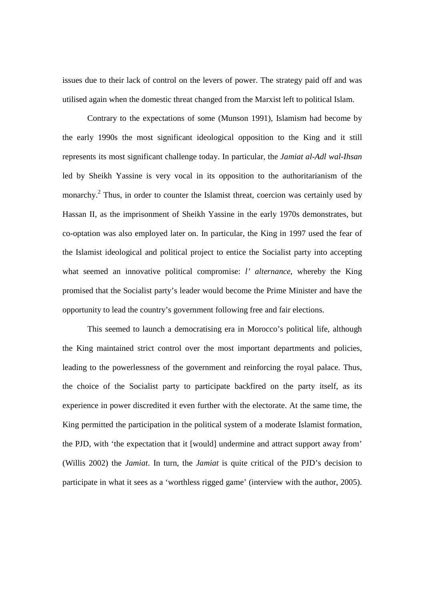issues due to their lack of control on the levers of power. The strategy paid off and was utilised again when the domestic threat changed from the Marxist left to political Islam.

Contrary to the expectations of some (Munson 1991), Islamism had become by the early 1990s the most significant ideological opposition to the King and it still represents its most significant challenge today. In particular, the *Jamiat al-Adl wal-Ihsan*  led by Sheikh Yassine is very vocal in its opposition to the authoritarianism of the monarchy.<sup>2</sup> Thus, in order to counter the Islamist threat, coercion was certainly used by Hassan II, as the imprisonment of Sheikh Yassine in the early 1970s demonstrates, but co-optation was also employed later on. In particular, the King in 1997 used the fear of the Islamist ideological and political project to entice the Socialist party into accepting what seemed an innovative political compromise: *l' alternance*, whereby the King promised that the Socialist party's leader would become the Prime Minister and have the opportunity to lead the country's government following free and fair elections.

This seemed to launch a democratising era in Morocco's political life, although the King maintained strict control over the most important departments and policies, leading to the powerlessness of the government and reinforcing the royal palace. Thus, the choice of the Socialist party to participate backfired on the party itself, as its experience in power discredited it even further with the electorate. At the same time, the King permitted the participation in the political system of a moderate Islamist formation, the PJD, with 'the expectation that it [would] undermine and attract support away from' (Willis 2002) the *Jamiat*. In turn, the *Jamiat* is quite critical of the PJD's decision to participate in what it sees as a 'worthless rigged game' (interview with the author, 2005).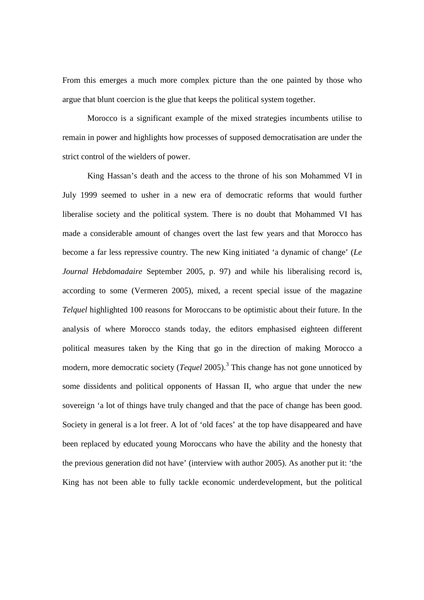From this emerges a much more complex picture than the one painted by those who argue that blunt coercion is the glue that keeps the political system together.

Morocco is a significant example of the mixed strategies incumbents utilise to remain in power and highlights how processes of supposed democratisation are under the strict control of the wielders of power.

King Hassan's death and the access to the throne of his son Mohammed VI in July 1999 seemed to usher in a new era of democratic reforms that would further liberalise society and the political system. There is no doubt that Mohammed VI has made a considerable amount of changes overt the last few years and that Morocco has become a far less repressive country. The new King initiated 'a dynamic of change' (*Le Journal Hebdomadaire* September 2005, p. 97) and while his liberalising record is, according to some (Vermeren 2005), mixed, a recent special issue of the magazine *Telquel* highlighted 100 reasons for Moroccans to be optimistic about their future. In the analysis of where Morocco stands today, the editors emphasised eighteen different political measures taken by the King that go in the direction of making Morocco a modern, more democratic society (*Tequel* 2005).<sup>3</sup> This change has not gone unnoticed by some dissidents and political opponents of Hassan II, who argue that under the new sovereign 'a lot of things have truly changed and that the pace of change has been good. Society in general is a lot freer. A lot of 'old faces' at the top have disappeared and have been replaced by educated young Moroccans who have the ability and the honesty that the previous generation did not have' (interview with author 2005). As another put it: 'the King has not been able to fully tackle economic underdevelopment, but the political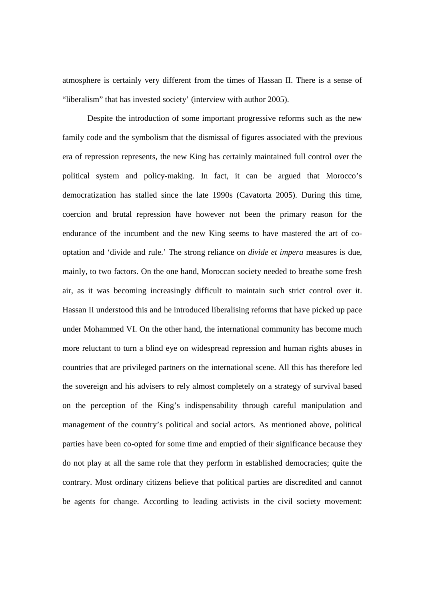atmosphere is certainly very different from the times of Hassan II. There is a sense of "liberalism" that has invested society' (interview with author 2005).

 Despite the introduction of some important progressive reforms such as the new family code and the symbolism that the dismissal of figures associated with the previous era of repression represents, the new King has certainly maintained full control over the political system and policy-making. In fact, it can be argued that Morocco's democratization has stalled since the late 1990s (Cavatorta 2005). During this time, coercion and brutal repression have however not been the primary reason for the endurance of the incumbent and the new King seems to have mastered the art of cooptation and 'divide and rule.' The strong reliance on *divide et impera* measures is due, mainly, to two factors. On the one hand, Moroccan society needed to breathe some fresh air, as it was becoming increasingly difficult to maintain such strict control over it. Hassan II understood this and he introduced liberalising reforms that have picked up pace under Mohammed VI. On the other hand, the international community has become much more reluctant to turn a blind eye on widespread repression and human rights abuses in countries that are privileged partners on the international scene. All this has therefore led the sovereign and his advisers to rely almost completely on a strategy of survival based on the perception of the King's indispensability through careful manipulation and management of the country's political and social actors. As mentioned above, political parties have been co-opted for some time and emptied of their significance because they do not play at all the same role that they perform in established democracies; quite the contrary. Most ordinary citizens believe that political parties are discredited and cannot be agents for change. According to leading activists in the civil society movement: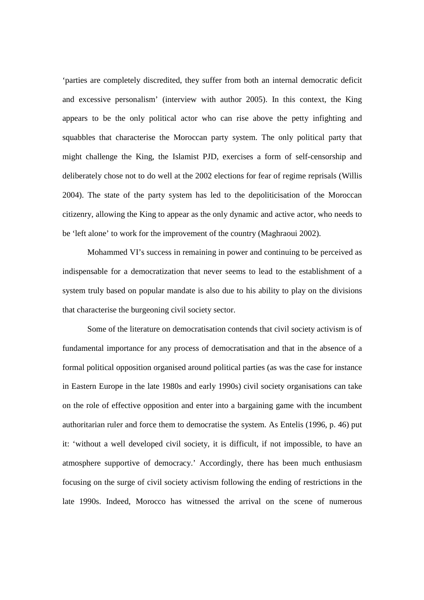'parties are completely discredited, they suffer from both an internal democratic deficit and excessive personalism' (interview with author 2005). In this context, the King appears to be the only political actor who can rise above the petty infighting and squabbles that characterise the Moroccan party system. The only political party that might challenge the King, the Islamist PJD, exercises a form of self-censorship and deliberately chose not to do well at the 2002 elections for fear of regime reprisals (Willis 2004). The state of the party system has led to the depoliticisation of the Moroccan citizenry, allowing the King to appear as the only dynamic and active actor, who needs to be 'left alone' to work for the improvement of the country (Maghraoui 2002).

Mohammed VI's success in remaining in power and continuing to be perceived as indispensable for a democratization that never seems to lead to the establishment of a system truly based on popular mandate is also due to his ability to play on the divisions that characterise the burgeoning civil society sector.

 Some of the literature on democratisation contends that civil society activism is of fundamental importance for any process of democratisation and that in the absence of a formal political opposition organised around political parties (as was the case for instance in Eastern Europe in the late 1980s and early 1990s) civil society organisations can take on the role of effective opposition and enter into a bargaining game with the incumbent authoritarian ruler and force them to democratise the system. As Entelis (1996, p. 46) put it: 'without a well developed civil society, it is difficult, if not impossible, to have an atmosphere supportive of democracy.' Accordingly, there has been much enthusiasm focusing on the surge of civil society activism following the ending of restrictions in the late 1990s. Indeed, Morocco has witnessed the arrival on the scene of numerous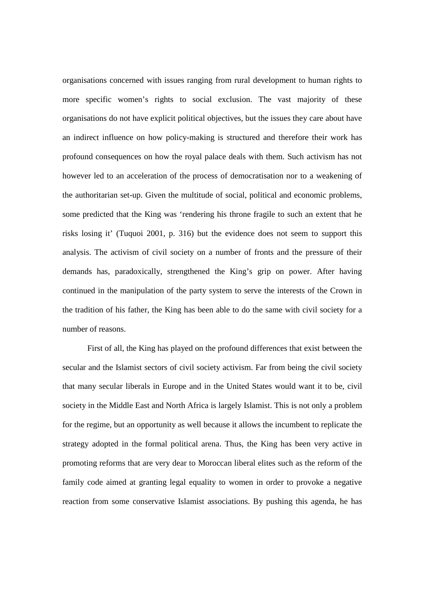organisations concerned with issues ranging from rural development to human rights to more specific women's rights to social exclusion. The vast majority of these organisations do not have explicit political objectives, but the issues they care about have an indirect influence on how policy-making is structured and therefore their work has profound consequences on how the royal palace deals with them. Such activism has not however led to an acceleration of the process of democratisation nor to a weakening of the authoritarian set-up. Given the multitude of social, political and economic problems, some predicted that the King was 'rendering his throne fragile to such an extent that he risks losing it' (Tuquoi 2001, p. 316) but the evidence does not seem to support this analysis. The activism of civil society on a number of fronts and the pressure of their demands has, paradoxically, strengthened the King's grip on power. After having continued in the manipulation of the party system to serve the interests of the Crown in the tradition of his father, the King has been able to do the same with civil society for a number of reasons.

 First of all, the King has played on the profound differences that exist between the secular and the Islamist sectors of civil society activism. Far from being the civil society that many secular liberals in Europe and in the United States would want it to be, civil society in the Middle East and North Africa is largely Islamist. This is not only a problem for the regime, but an opportunity as well because it allows the incumbent to replicate the strategy adopted in the formal political arena. Thus, the King has been very active in promoting reforms that are very dear to Moroccan liberal elites such as the reform of the family code aimed at granting legal equality to women in order to provoke a negative reaction from some conservative Islamist associations. By pushing this agenda, he has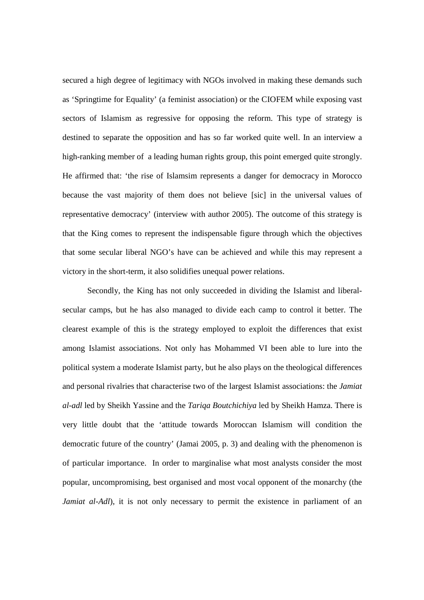secured a high degree of legitimacy with NGOs involved in making these demands such as 'Springtime for Equality' (a feminist association) or the CIOFEM while exposing vast sectors of Islamism as regressive for opposing the reform. This type of strategy is destined to separate the opposition and has so far worked quite well. In an interview a high-ranking member of a leading human rights group, this point emerged quite strongly. He affirmed that: 'the rise of Islamsim represents a danger for democracy in Morocco because the vast majority of them does not believe [sic] in the universal values of representative democracy' (interview with author 2005). The outcome of this strategy is that the King comes to represent the indispensable figure through which the objectives that some secular liberal NGO's have can be achieved and while this may represent a victory in the short-term, it also solidifies unequal power relations.

 Secondly, the King has not only succeeded in dividing the Islamist and liberalsecular camps, but he has also managed to divide each camp to control it better. The clearest example of this is the strategy employed to exploit the differences that exist among Islamist associations. Not only has Mohammed VI been able to lure into the political system a moderate Islamist party, but he also plays on the theological differences and personal rivalries that characterise two of the largest Islamist associations: the *Jamiat al-adl* led by Sheikh Yassine and the *Tariqa Boutchichiya* led by Sheikh Hamza. There is very little doubt that the 'attitude towards Moroccan Islamism will condition the democratic future of the country' (Jamai 2005, p. 3) and dealing with the phenomenon is of particular importance. In order to marginalise what most analysts consider the most popular, uncompromising, best organised and most vocal opponent of the monarchy (the *Jamiat al-Adl*), it is not only necessary to permit the existence in parliament of an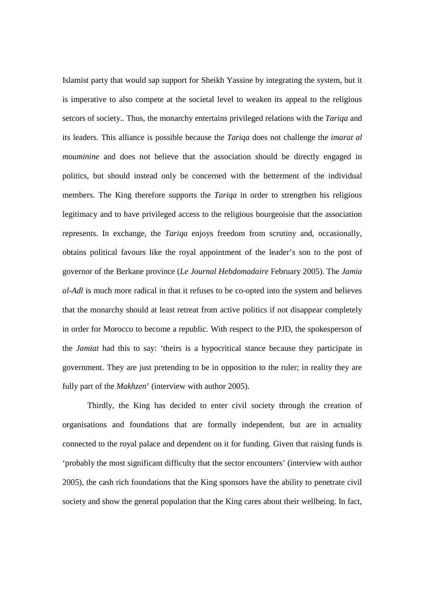Islamist party that would sap support for Sheikh Yassine by integrating the system, but it is imperative to also compete at the societal level to weaken its appeal to the religious setcors of society.. Thus, the monarchy entertains privileged relations with the *Tariqa* and its leaders. This alliance is possible because the *Tariqa* does not challenge the *imarat al mouminine* and does not believe that the association should be directly engaged in politics, but should instead only be concerned with the betterment of the individual members. The King therefore supports the *Tariqa* in order to strengthen his religious legitimacy and to have privileged access to the religious bourgeoisie that the association represents. In exchange, the *Tariqa* enjoys freedom from scrutiny and, occasionally, obtains political favours like the royal appointment of the leader's son to the post of governor of the Berkane province (*Le Journal Hebdomadaire* February 2005). The *Jamia al-Adl* is much more radical in that it refuses to be co-opted into the system and believes that the monarchy should at least retreat from active politics if not disappear completely in order for Morocco to become a republic. With respect to the PJD, the spokesperson of the *Jamiat* had this to say: 'theirs is a hypocritical stance because they participate in government. They are just pretending to be in opposition to the ruler; in reality they are fully part of the *Makhzen*' (interview with author 2005).

 Thirdly, the King has decided to enter civil society through the creation of organisations and foundations that are formally independent, but are in actuality connected to the royal palace and dependent on it for funding. Given that raising funds is 'probably the most significant difficulty that the sector encounters' (interview with author 2005), the cash rich foundations that the King sponsors have the ability to penetrate civil society and show the general population that the King cares about their wellbeing. In fact,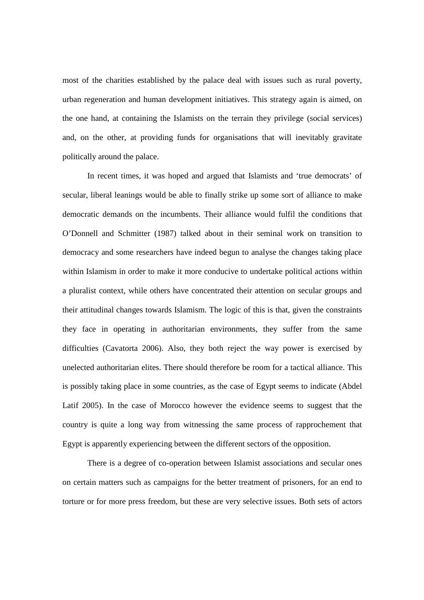most of the charities established by the palace deal with issues such as rural poverty, urban regeneration and human development initiatives. This strategy again is aimed, on the one hand, at containing the Islamists on the terrain they privilege (social services) and, on the other, at providing funds for organisations that will inevitably gravitate politically around the palace.

 In recent times, it was hoped and argued that Islamists and 'true democrats' of secular, liberal leanings would be able to finally strike up some sort of alliance to make democratic demands on the incumbents. Their alliance would fulfil the conditions that O'Donnell and Schmitter (1987) talked about in their seminal work on transition to democracy and some researchers have indeed begun to analyse the changes taking place within Islamism in order to make it more conducive to undertake political actions within a pluralist context, while others have concentrated their attention on secular groups and their attitudinal changes towards Islamism. The logic of this is that, given the constraints they face in operating in authoritarian environments, they suffer from the same difficulties (Cavatorta 2006). Also, they both reject the way power is exercised by unelected authoritarian elites. There should therefore be room for a tactical alliance. This is possibly taking place in some countries, as the case of Egypt seems to indicate (Abdel Latif 2005). In the case of Morocco however the evidence seems to suggest that the country is quite a long way from witnessing the same process of rapprochement that Egypt is apparently experiencing between the different sectors of the opposition.

 There is a degree of co-operation between Islamist associations and secular ones on certain matters such as campaigns for the better treatment of prisoners, for an end to torture or for more press freedom, but these are very selective issues. Both sets of actors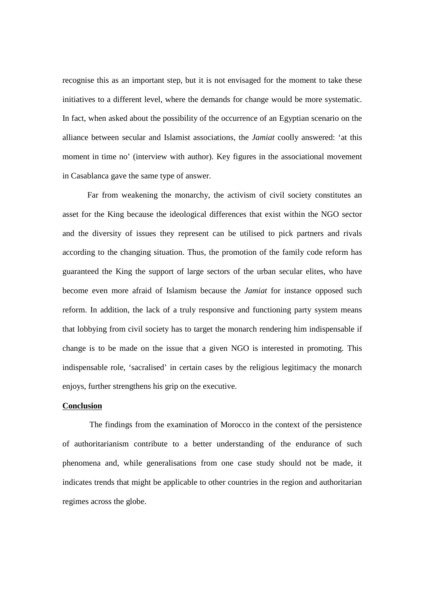recognise this as an important step, but it is not envisaged for the moment to take these initiatives to a different level, where the demands for change would be more systematic. In fact, when asked about the possibility of the occurrence of an Egyptian scenario on the alliance between secular and Islamist associations, the *Jamiat* coolly answered: 'at this moment in time no' (interview with author). Key figures in the associational movement in Casablanca gave the same type of answer.

 Far from weakening the monarchy, the activism of civil society constitutes an asset for the King because the ideological differences that exist within the NGO sector and the diversity of issues they represent can be utilised to pick partners and rivals according to the changing situation. Thus, the promotion of the family code reform has guaranteed the King the support of large sectors of the urban secular elites, who have become even more afraid of Islamism because the *Jamiat* for instance opposed such reform. In addition, the lack of a truly responsive and functioning party system means that lobbying from civil society has to target the monarch rendering him indispensable if change is to be made on the issue that a given NGO is interested in promoting. This indispensable role, 'sacralised' in certain cases by the religious legitimacy the monarch enjoys, further strengthens his grip on the executive.

## **Conclusion**

 The findings from the examination of Morocco in the context of the persistence of authoritarianism contribute to a better understanding of the endurance of such phenomena and, while generalisations from one case study should not be made, it indicates trends that might be applicable to other countries in the region and authoritarian regimes across the globe.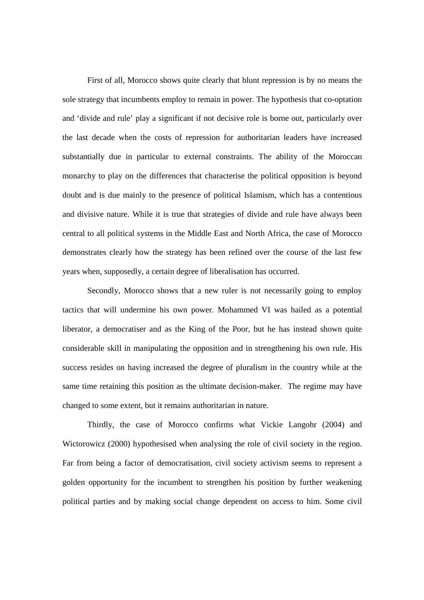First of all, Morocco shows quite clearly that blunt repression is by no means the sole strategy that incumbents employ to remain in power. The hypothesis that co-optation and 'divide and rule' play a significant if not decisive role is borne out, particularly over the last decade when the costs of repression for authoritarian leaders have increased substantially due in particular to external constraints. The ability of the Moroccan monarchy to play on the differences that characterise the political opposition is beyond doubt and is due mainly to the presence of political Islamism, which has a contentious and divisive nature. While it is true that strategies of divide and rule have always been central to all political systems in the Middle East and North Africa, the case of Morocco demonstrates clearly how the strategy has been refined over the course of the last few years when, supposedly, a certain degree of liberalisation has occurred.

 Secondly, Morocco shows that a new ruler is not necessarily going to employ tactics that will undermine his own power. Mohammed VI was hailed as a potential liberator, a democratiser and as the King of the Poor, but he has instead shown quite considerable skill in manipulating the opposition and in strengthening his own rule. His success resides on having increased the degree of pluralism in the country while at the same time retaining this position as the ultimate decision-maker. The regime may have changed to some extent, but it remains authoritarian in nature.

 Thirdly, the case of Morocco confirms what Vickie Langohr (2004) and Wictorowicz (2000) hypothesised when analysing the role of civil society in the region. Far from being a factor of democratisation, civil society activism seems to represent a golden opportunity for the incumbent to strengthen his position by further weakening political parties and by making social change dependent on access to him. Some civil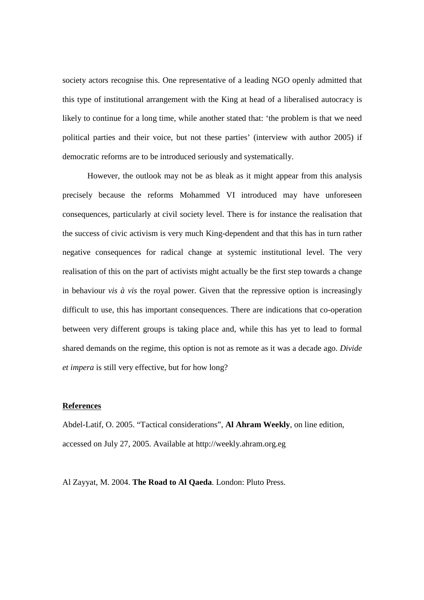society actors recognise this. One representative of a leading NGO openly admitted that this type of institutional arrangement with the King at head of a liberalised autocracy is likely to continue for a long time, while another stated that: 'the problem is that we need political parties and their voice, but not these parties' (interview with author 2005) if democratic reforms are to be introduced seriously and systematically.

 However, the outlook may not be as bleak as it might appear from this analysis precisely because the reforms Mohammed VI introduced may have unforeseen consequences, particularly at civil society level. There is for instance the realisation that the success of civic activism is very much King-dependent and that this has in turn rather negative consequences for radical change at systemic institutional level. The very realisation of this on the part of activists might actually be the first step towards a change in behaviour *vis à vis* the royal power. Given that the repressive option is increasingly difficult to use, this has important consequences. There are indications that co-operation between very different groups is taking place and, while this has yet to lead to formal shared demands on the regime, this option is not as remote as it was a decade ago. *Divide et impera* is still very effective, but for how long?

## **References**

Abdel-Latif, O. 2005. "Tactical considerations", **Al Ahram Weekly**, on line edition, accessed on July 27, 2005. Available at http://weekly.ahram.org.eg

Al Zayyat, M. 2004. **The Road to Al Qaeda**. London: Pluto Press.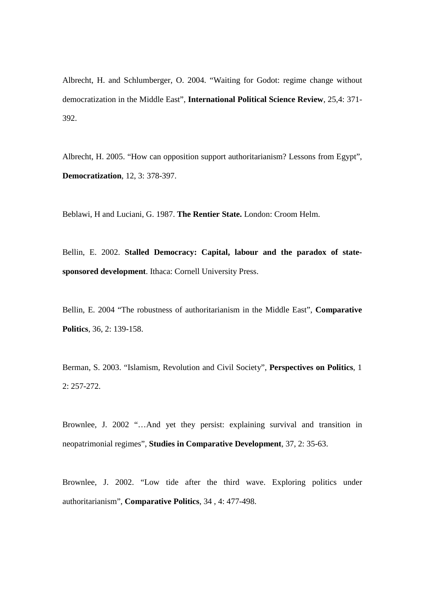Albrecht, H. and Schlumberger, O. 2004. "Waiting for Godot: regime change without democratization in the Middle East", **International Political Science Review**, 25,4: 371- 392.

Albrecht, H. 2005. "How can opposition support authoritarianism? Lessons from Egypt", **Democratization**, 12, 3: 378-397.

Beblawi, H and Luciani, G. 1987. **The Rentier State.** London: Croom Helm.

Bellin, E. 2002. **Stalled Democracy: Capital, labour and the paradox of statesponsored development**. Ithaca: Cornell University Press.

Bellin, E. 2004 "The robustness of authoritarianism in the Middle East", **Comparative Politics**, 36, 2: 139-158.

Berman, S. 2003. "Islamism, Revolution and Civil Society", **Perspectives on Politics**, 1 2: 257-272.

Brownlee, J. 2002 "…And yet they persist: explaining survival and transition in neopatrimonial regimes", **Studies in Comparative Development**, 37, 2: 35-63.

Brownlee, J. 2002. "Low tide after the third wave. Exploring politics under authoritarianism", **Comparative Politics**, 34 , 4: 477-498.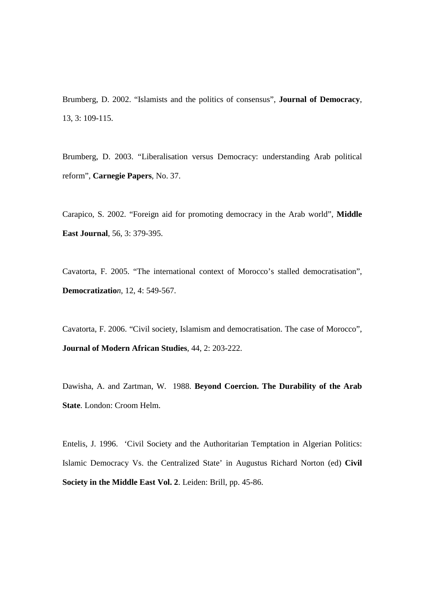Brumberg, D. 2002. "Islamists and the politics of consensus", **Journal of Democracy**, 13, 3: 109-115.

Brumberg, D. 2003. "Liberalisation versus Democracy: understanding Arab political reform", **Carnegie Papers**, No. 37.

Carapico, S. 2002. "Foreign aid for promoting democracy in the Arab world", **Middle East Journal**, 56, 3: 379-395.

Cavatorta, F. 2005. "The international context of Morocco's stalled democratisation", **Democratizatio***n*, 12, 4: 549-567.

Cavatorta, F. 2006. "Civil society, Islamism and democratisation. The case of Morocco", **Journal of Modern African Studies**, 44, 2: 203-222.

Dawisha, A. and Zartman, W. 1988. **Beyond Coercion. The Durability of the Arab State**. London: Croom Helm.

Entelis, J. 1996. 'Civil Society and the Authoritarian Temptation in Algerian Politics: Islamic Democracy Vs. the Centralized State' in Augustus Richard Norton (ed) **Civil Society in the Middle East Vol. 2**. Leiden: Brill, pp. 45-86.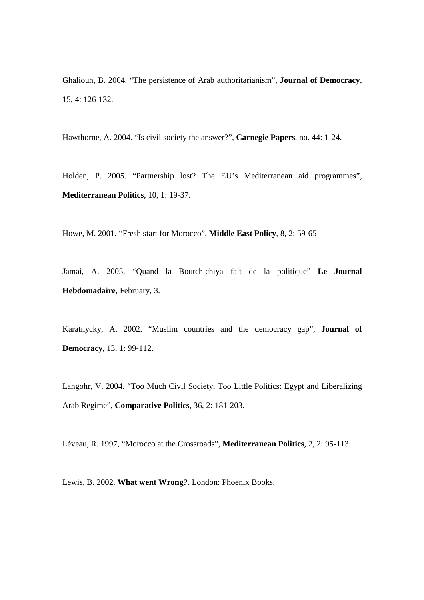Ghalioun, B. 2004. "The persistence of Arab authoritarianism", **Journal of Democracy**, 15, 4: 126-132.

Hawthorne, A. 2004. "Is civil society the answer?", **Carnegie Papers**, no. 44: 1-24.

Holden, P. 2005. "Partnership lost? The EU's Mediterranean aid programmes", **Mediterranean Politics**, 10, 1: 19-37.

Howe, M. 2001. "Fresh start for Morocco", **Middle East Policy**, 8, 2: 59-65

Jamai, A. 2005. "Quand la Boutchichiya fait de la politique" **Le Journal Hebdomadaire**, February, 3.

Karatnycky, A. 2002. "Muslim countries and the democracy gap", **Journal of Democracy**, 13, 1: 99-112.

Langohr, V. 2004. "Too Much Civil Society, Too Little Politics: Egypt and Liberalizing Arab Regime", **Comparative Politics**, 36, 2: 181-203.

Léveau, R. 1997, "Morocco at the Crossroads", **Mediterranean Politics**, 2, 2: 95-113.

Lewis, B. 2002. **What went Wrong***?***.** London: Phoenix Books.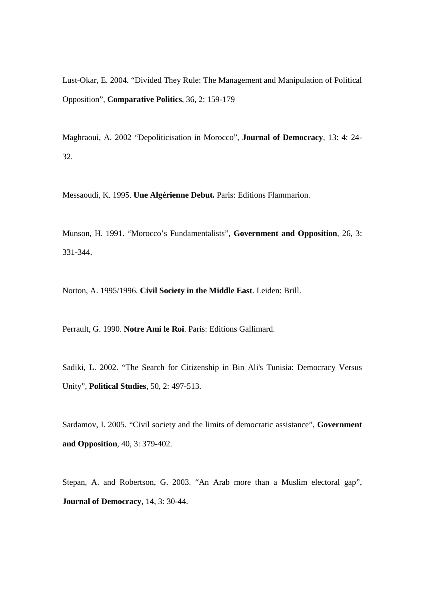Lust-Okar, E. 2004. "Divided They Rule: The Management and Manipulation of Political Opposition", **Comparative Politics**, 36, 2: 159-179

Maghraoui, A. 2002 "Depoliticisation in Morocco", **Journal of Democracy**, 13: 4: 24- 32.

Messaoudi, K. 1995. **Une Algérienne Debut.** Paris: Editions Flammarion.

Munson, H. 1991. "Morocco's Fundamentalists", **Government and Opposition**, 26, 3: 331-344.

Norton, A. 1995/1996. **Civil Society in the Middle East**. Leiden: Brill.

Perrault, G. 1990. **Notre Ami le Roi**. Paris: Editions Gallimard.

Sadiki, L. 2002. "The Search for Citizenship in Bin Ali's Tunisia: Democracy Versus Unity", **Political Studies**, 50, 2: 497-513.

Sardamov, I. 2005. "Civil society and the limits of democratic assistance", **Government and Opposition**, 40, 3: 379-402.

Stepan, A. and Robertson, G. 2003. "An Arab more than a Muslim electoral gap", **Journal of Democracy**, 14, 3: 30-44.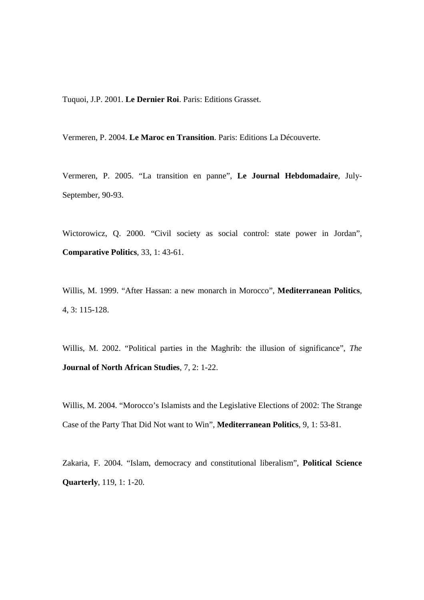Tuquoi, J.P. 2001. **Le Dernier Roi**. Paris: Editions Grasset.

Vermeren, P. 2004. **Le Maroc en Transition**. Paris: Editions La Découverte.

Vermeren, P. 2005. "La transition en panne", **Le Journal Hebdomadaire**, July-September, 90-93.

Wictorowicz, Q. 2000. "Civil society as social control: state power in Jordan", **Comparative Politics**, 33, 1: 43-61.

Willis, M. 1999. "After Hassan: a new monarch in Morocco", **Mediterranean Politics**, 4, 3: 115-128.

Willis, M. 2002. "Political parties in the Maghrib: the illusion of significance", *The*  **Journal of North African Studies**, 7, 2: 1-22.

Willis, M. 2004. "Morocco's Islamists and the Legislative Elections of 2002: The Strange Case of the Party That Did Not want to Win", **Mediterranean Politics**, 9, 1: 53-81.

Zakaria, F. 2004. "Islam, democracy and constitutional liberalism", **Political Science Quarterly**, 119, 1: 1-20.